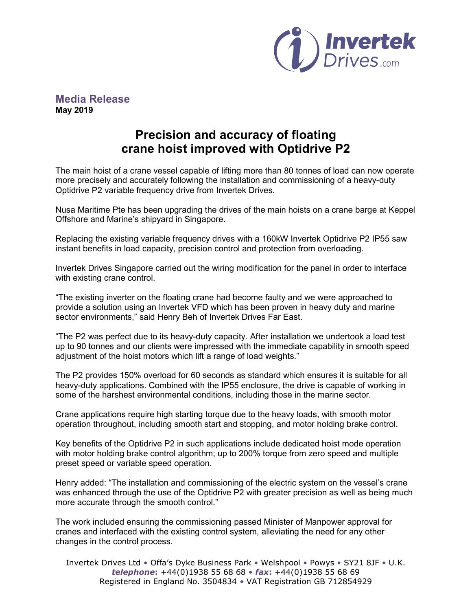

## **Media Release May 2019**

# **Precision and accuracy of floating crane hoist improved with Optidrive P2**

The main hoist of a crane vessel capable of lifting more than 80 tonnes of load can now operate more precisely and accurately following the installation and commissioning of a heavy-duty Optidrive P2 variable frequency drive from Invertek Drives.

Nusa Maritime Pte has been upgrading the drives of the main hoists on a crane barge at Keppel Offshore and Marine's shipyard in Singapore.

Replacing the existing variable frequency drives with a 160kW Invertek Optidrive P2 IP55 saw instant benefits in load capacity, precision control and protection from overloading.

Invertek Drives Singapore carried out the wiring modification for the panel in order to interface with existing crane control.

"The existing inverter on the floating crane had become faulty and we were approached to provide a solution using an Invertek VFD which has been proven in heavy duty and marine sector environments," said Henry Beh of Invertek Drives Far East.

"The P2 was perfect due to its heavy-duty capacity. After installation we undertook a load test up to 90 tonnes and our clients were impressed with the immediate capability in smooth speed adjustment of the hoist motors which lift a range of load weights."

The P2 provides 150% overload for 60 seconds as standard which ensures it is suitable for all heavy-duty applications. Combined with the IP55 enclosure, the drive is capable of working in some of the harshest environmental conditions, including those in the marine sector.

Crane applications require high starting torque due to the heavy loads, with smooth motor operation throughout, including smooth start and stopping, and motor holding brake control.

Key benefits of the Optidrive P2 in such applications include dedicated hoist mode operation with motor holding brake control algorithm; up to 200% torque from zero speed and multiple preset speed or variable speed operation.

Henry added: "The installation and commissioning of the electric system on the vessel's crane was enhanced through the use of the Optidrive P2 with greater precision as well as being much more accurate through the smooth control."

The work included ensuring the commissioning passed Minister of Manpower approval for cranes and interfaced with the existing control system, alleviating the need for any other changes in the control process.

Invertek Drives Ltd • Offa's Dyke Business Park • Welshpool • Powys • SY21 8JF • U.K. *telephone***:** +44(0)1938 55 68 68 • *fax***:** +44(0)1938 55 68 69 Registered in England No. 3504834 • VAT Registration GB 712854929